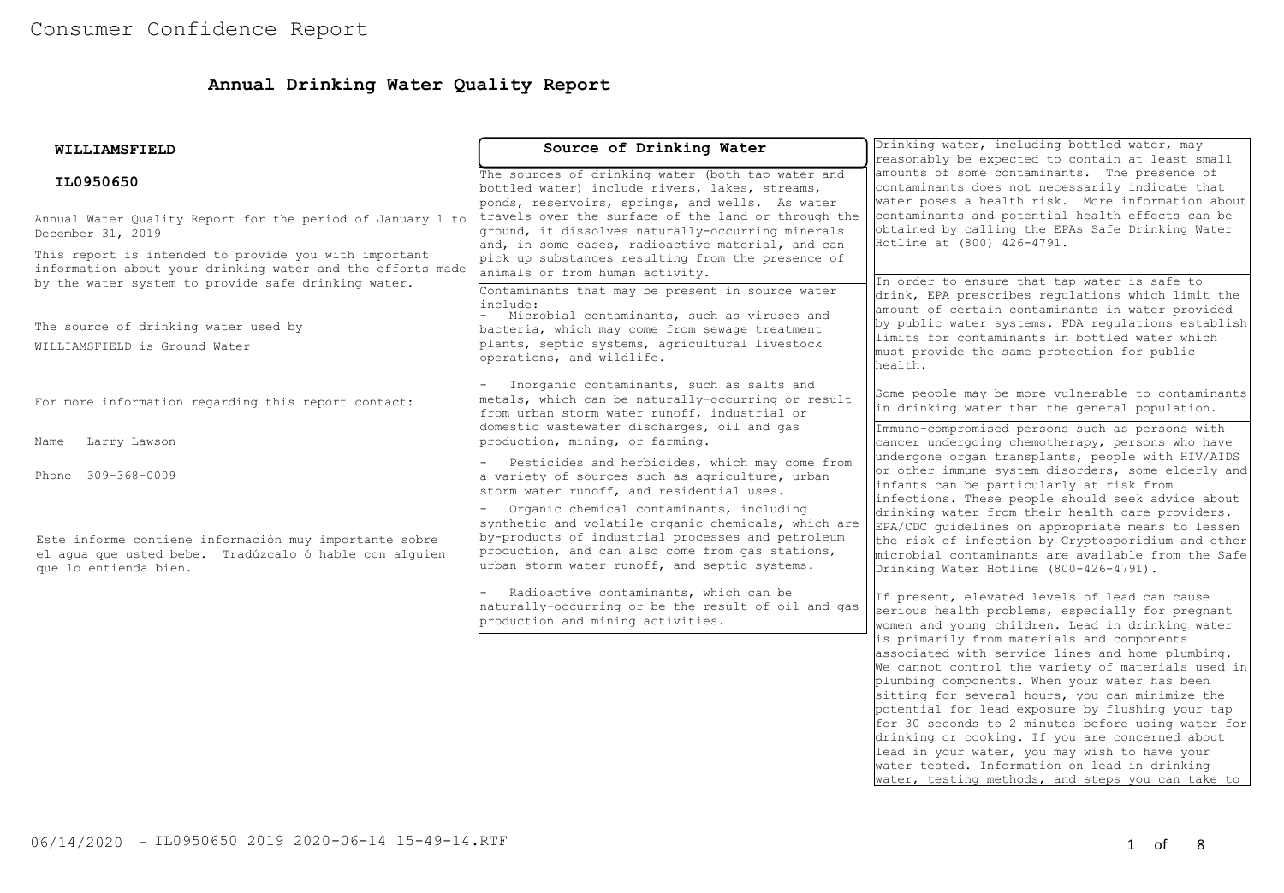## **Annual Drinking Water Quality Report**

| WILLIAMSFIELD                                                                                                                                                              | Source of Drinking Water                                                                                                                                                                                                                                  | Drinking water, including bottled water, may<br>reasonably be expected to contain at least small                                                                                                                                                                         |  |  |
|----------------------------------------------------------------------------------------------------------------------------------------------------------------------------|-----------------------------------------------------------------------------------------------------------------------------------------------------------------------------------------------------------------------------------------------------------|--------------------------------------------------------------------------------------------------------------------------------------------------------------------------------------------------------------------------------------------------------------------------|--|--|
| IL0950650                                                                                                                                                                  | The sources of drinking water (both tap water and<br>bottled water) include rivers, lakes, streams,<br>ponds, reservoirs, springs, and wells. As water                                                                                                    | amounts of some contaminants. The presence of<br>contaminants does not necessarily indicate that<br>water poses a health risk. More information about                                                                                                                    |  |  |
| Annual Water Ouality Report for the period of January 1 to<br>December 31, 2019                                                                                            | travels over the surface of the land or through the<br>ground, it dissolves naturally-occurring minerals<br>and, in some cases, radioactive material, and can                                                                                             | contaminants and potential health effects can be<br>obtained by calling the EPAs Safe Drinking Water<br>Hotline at (800) 426-4791.                                                                                                                                       |  |  |
| This report is intended to provide you with important<br>information about your drinking water and the efforts made<br>by the water system to provide safe drinking water. | pick up substances resulting from the presence of<br>animals or from human activity.                                                                                                                                                                      | In order to ensure that tap water is safe to                                                                                                                                                                                                                             |  |  |
| The source of drinking water used by<br>WILLIAMSFIELD is Ground Water                                                                                                      | Contaminants that may be present in source water<br>include:<br>Microbial contaminants, such as viruses and<br>bacteria, which may come from sewage treatment<br>plants, septic systems, agricultural livestock<br>operations, and wildlife.              | drink, EPA prescribes regulations which limit the<br>amount of certain contaminants in water provided<br>by public water systems. FDA regulations establish<br>llimits for contaminants in bottled water which<br>must provide the same protection for public<br>health. |  |  |
| For more information regarding this report contact:                                                                                                                        | Inorganic contaminants, such as salts and<br>metals, which can be naturally-occurring or result<br>from urban storm water runoff, industrial or                                                                                                           | Some people may be more vulnerable to contaminants<br>in drinking water than the general population.                                                                                                                                                                     |  |  |
| Larry Lawson<br>Name                                                                                                                                                       | domestic wastewater discharges, oil and gas<br>production, mining, or farming.                                                                                                                                                                            | Immuno-compromised persons such as persons with<br>cancer undergoing chemotherapy, persons who have                                                                                                                                                                      |  |  |
| Phone 309-368-0009                                                                                                                                                         | Pesticides and herbicides, which may come from<br>a variety of sources such as agriculture, urban<br>storm water runoff, and residential uses.                                                                                                            | undergone organ transplants, people with HIV/AIDS<br>or other immune system disorders, some elderly and<br>infants can be particularly at risk from<br>infections. These people should seek advice about                                                                 |  |  |
| Este informe contiene información muy importante sobre<br>el aqua que usted bebe. Tradúzcalo ó hable con alquien<br>que lo entienda bien.                                  | Organic chemical contaminants, including<br>synthetic and volatile organic chemicals, which are<br>by-products of industrial processes and petroleum<br>production, and can also come from gas stations,<br>urban storm water runoff, and septic systems. | drinking water from their health care providers.<br>EPA/CDC guidelines on appropriate means to lessen<br>the risk of infection by Cryptosporidium and other<br>microbial contaminants are available from the Safe<br>Drinking Water Hotline (800-426-4791).              |  |  |
|                                                                                                                                                                            | Radioactive contaminants, which can be<br>naturally-occurring or be the result of oil and gas<br>production and mining activities.                                                                                                                        | If present, elevated levels of lead can cause<br>serious health problems, especially for pregnant<br>women and young children. Lead in drinking water<br>is primarily from materials and components<br>associated with service lines and home plumbing.                  |  |  |
|                                                                                                                                                                            |                                                                                                                                                                                                                                                           | We cannot control the variety of materials used in<br>plumbing components. When your water has been<br>sitting for several hours, you can minimize the<br>potential for lead exposure by flushing your tap                                                               |  |  |
|                                                                                                                                                                            |                                                                                                                                                                                                                                                           | for 30 seconds to 2 minutes before using water for<br>drinking or cooking. If you are concerned about<br>lead in your water, you may wish to have your<br>water tested. Information on lead in drinking                                                                  |  |  |
|                                                                                                                                                                            |                                                                                                                                                                                                                                                           | water, testing methods, and steps you can take to                                                                                                                                                                                                                        |  |  |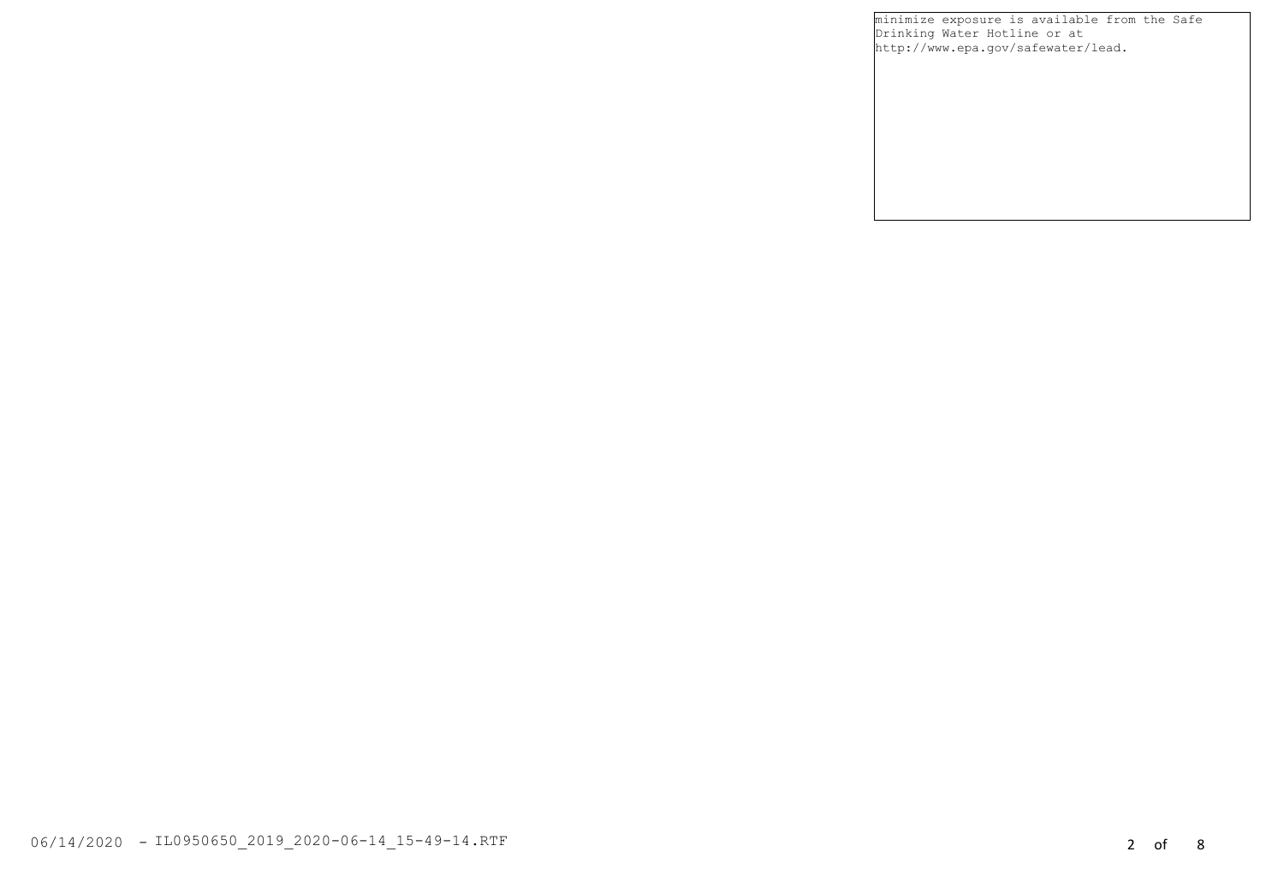minimize exposure is available from the Safe Drinking Water Hotline or at [http://www.epa.gov/safewater/lead.](http://www.epa.gov/safewater/lead)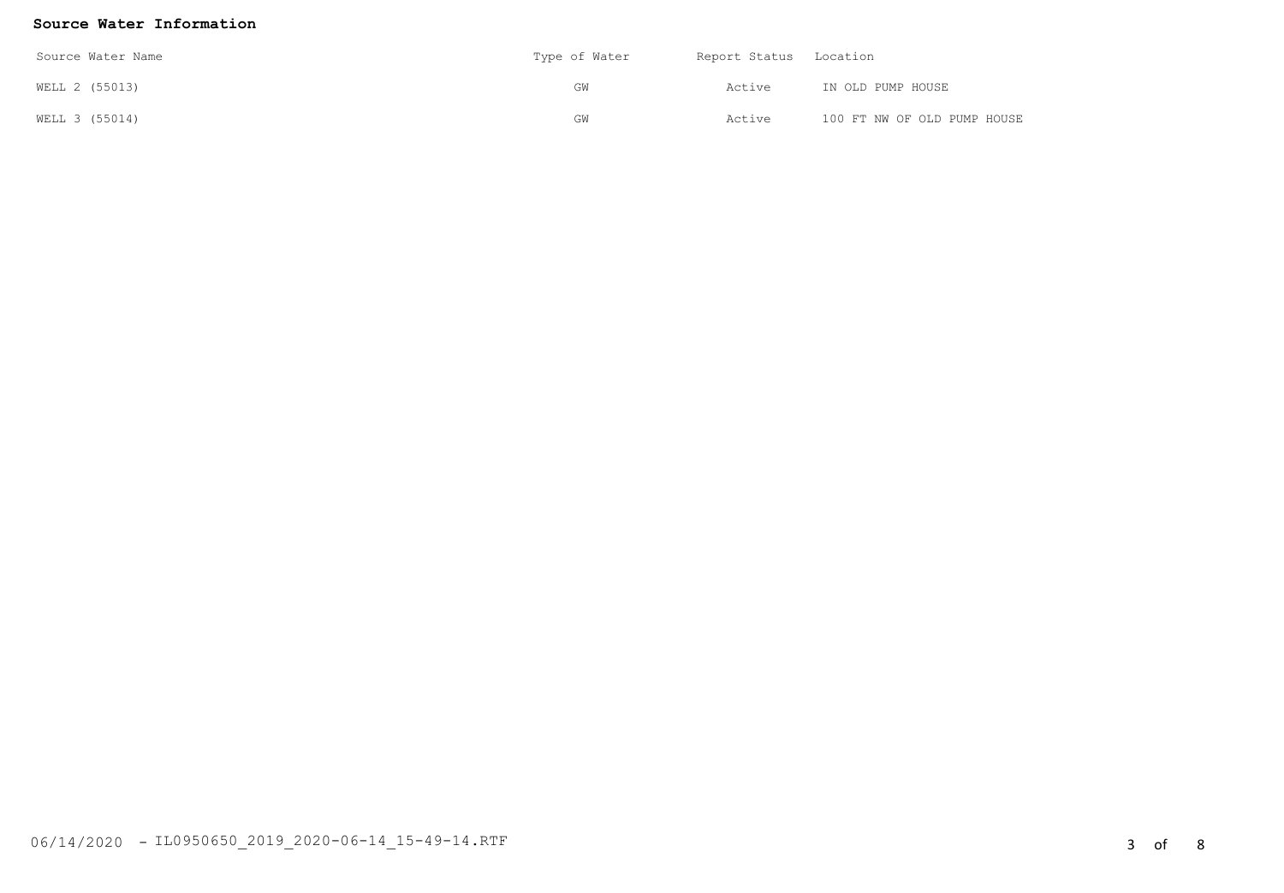#### **Source Water Information**

| Source Water Name | Type of Water | Report Status Location |                             |
|-------------------|---------------|------------------------|-----------------------------|
| WELL 2 (55013)    | GW            | Active                 | IN OLD PUMP HOUSE           |
| WELL 3 (55014)    | GW            | Active                 | 100 FT NW OF OLD PUMP HOUSE |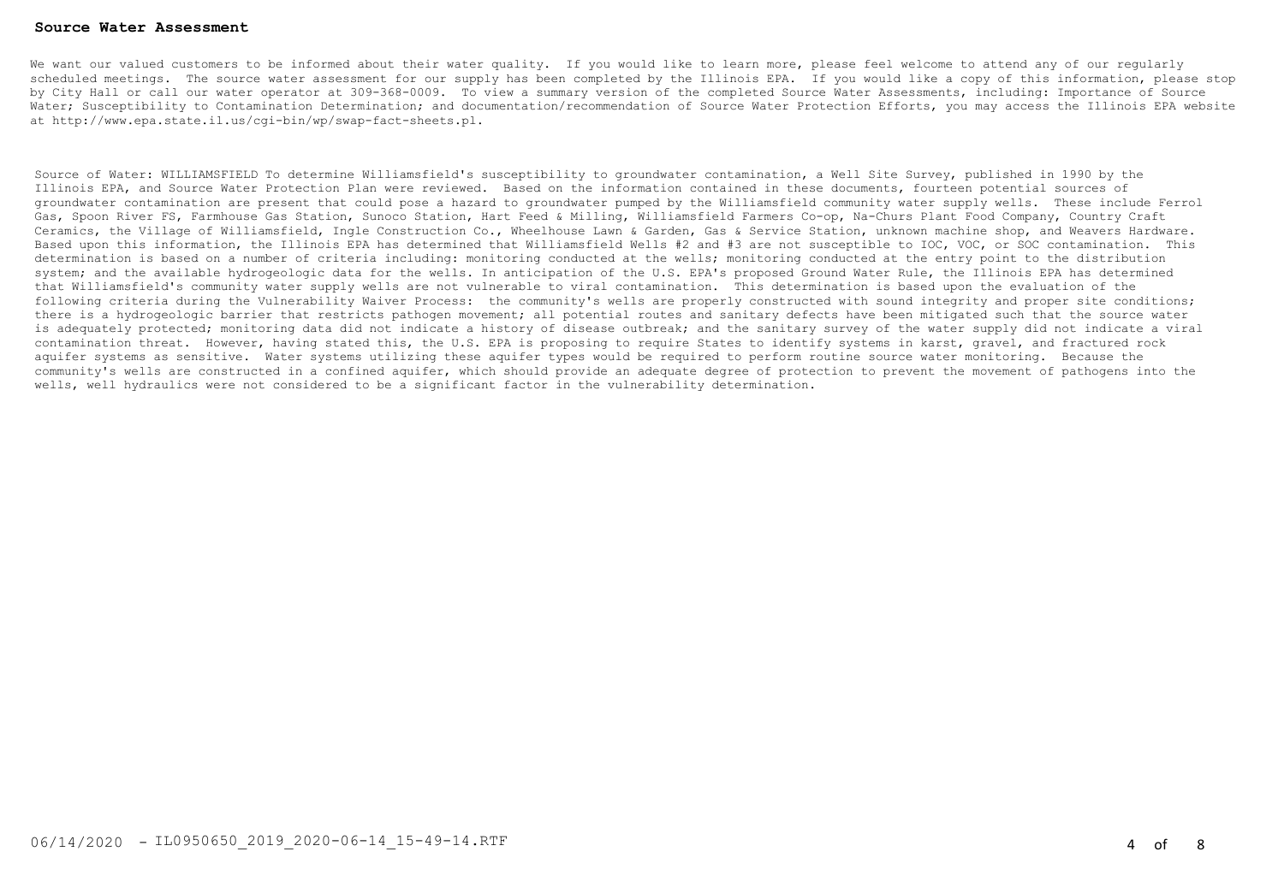#### **Source Water Assessment**

We want our valued customers to be informed about their water quality. If you would like to learn more, please feel welcome to attend any of our regularly scheduled meetings. The source water assessment for our supply has been completed by the Illinois EPA. If you would like a copy of this information, please stop by City Hall or call our water operator at 309-368-0009. To view a summary version of the completed Source Water Assessments, including: Importance of Source Water; Susceptibility to Contamination Determination; and documentation/recommendation of Source Water Protection Efforts, you may access the Illinois EPA website at <http://www.epa.state.il.us/cgi-bin/wp/swap-fact-sheets.pl>.

Source of Water: WILLIAMSFIELD To determine Williamsfield's susceptibility to groundwater contamination, a Well Site Survey, published in 1990 by the Illinois EPA, and Source Water Protection Plan were reviewed. Based on the information contained in these documents, fourteen potential sources of groundwater contamination are present that could pose a hazard to groundwater pumped by the Williamsfield community water supply wells. These include Ferrol Gas, Spoon River FS, Farmhouse Gas Station, Sunoco Station, Hart Feed & Milling, Williamsfield Farmers Co-op, Na-Churs Plant Food Company, Country Craft Ceramics, the Village of Williamsfield, Ingle Construction Co., Wheelhouse Lawn & Garden, Gas & Service Station, unknown machine shop, and Weavers Hardware. Based upon this information, the Illinois EPA has determined that Williamsfield Wells #2 and #3 are not susceptible to IOC, VOC, or SOC contamination. This determination is based on a number of criteria including: monitoring conducted at the wells; monitoring conducted at the entry point to the distribution system; and the available hydrogeologic data for the wells. In anticipation of the U.S. EPA's proposed Ground Water Rule, the Illinois EPA has determined that Williamsfield's community water supply wells are not vulnerable to viral contamination. This determination is based upon the evaluation of the following criteria during the Vulnerability Waiver Process: the community's wells are properly constructed with sound integrity and proper site conditions; there is a hydrogeologic barrier that restricts pathogen movement; all potential routes and sanitary defects have been mitigated such that the source water is adequately protected; monitoring data did not indicate a history of disease outbreak; and the sanitary survey of the water supply did not indicate a viral contamination threat. However, having stated this, the U.S. EPA is proposing to require States to identify systems in karst, gravel, and fractured rock aquifer systems as sensitive. Water systems utilizing these aquifer types would be required to perform routine source water monitoring. Because the community's wells are constructed in a confined aquifer, which should provide an adequate degree of protection to prevent the movement of pathogens into the wells, well hydraulics were not considered to be a significant factor in the vulnerability determination.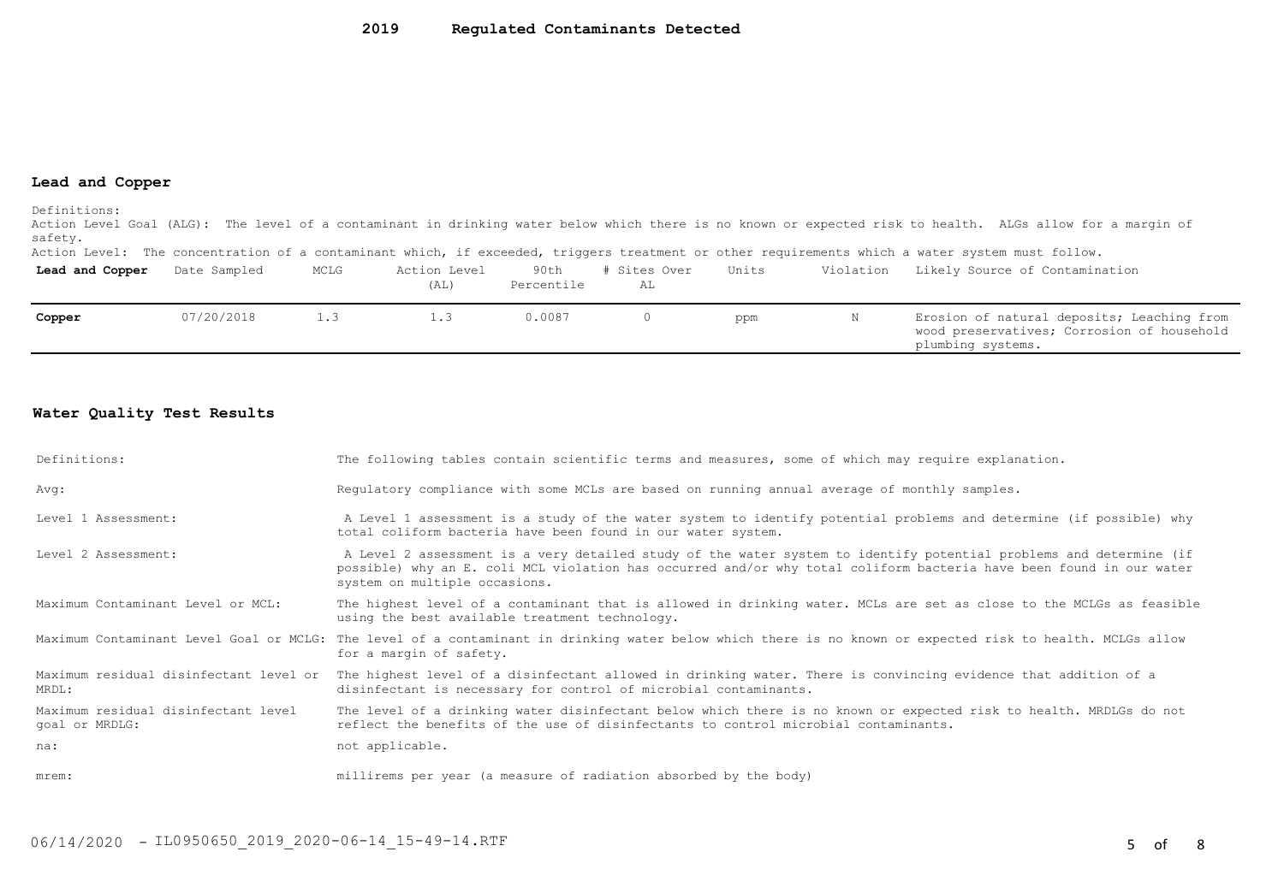#### **Lead and Copper**

Definitions:

Action Level Goal (ALG): The level of a contaminant in drinking water below which there is no known or expected risk to health. ALGs allow for a margin of safety.

Action Level: The concentration of a contaminant which, if exceeded, triggers treatment or other requirements which a water system must follow.

| Lead and Copper | Date Sampled | MCLG | Action Level<br>(AL) | 90th<br>Percentile | Sites Over<br>AL | Units | Violation | Likely Source of Contamination                                                                                |
|-----------------|--------------|------|----------------------|--------------------|------------------|-------|-----------|---------------------------------------------------------------------------------------------------------------|
| Copper          | 07/20/2018   |      | $\perp$ .3           | 0.0087             |                  | ppm   |           | Erosion of natural deposits; Leaching from<br>wood preservatives; Corrosion of household<br>plumbing systems. |

#### **Water Quality Test Results**

| Definitions:                                          | The following tables contain scientific terms and measures, some of which may require explanation.                                                                                                                                                                         |
|-------------------------------------------------------|----------------------------------------------------------------------------------------------------------------------------------------------------------------------------------------------------------------------------------------------------------------------------|
| Avg:                                                  | Requlatory compliance with some MCLs are based on running annual average of monthly samples.                                                                                                                                                                               |
| Level 1 Assessment:                                   | A Level 1 assessment is a study of the water system to identify potential problems and determine (if possible) why<br>total coliform bacteria have been found in our water system.                                                                                         |
| Level 2 Assessment:                                   | A Level 2 assessment is a very detailed study of the water system to identify potential problems and determine (if<br>possible) why an E. coli MCL violation has occurred and/or why total coliform bacteria have been found in our water<br>system on multiple occasions. |
| Maximum Contaminant Level or MCL:                     | The highest level of a contaminant that is allowed in drinking water. MCLs are set as close to the MCLGs as feasible<br>using the best available treatment technology.                                                                                                     |
|                                                       | Maximum Contaminant Level Goal or MCLG: The level of a contaminant in drinking water below which there is no known or expected risk to health. MCLGs allow<br>for a margin of safety.                                                                                      |
| Maximum residual disinfectant level or<br>MRDL:       | The highest level of a disinfectant allowed in drinking water. There is convincing evidence that addition of a<br>disinfectant is necessary for control of microbial contaminants.                                                                                         |
| Maximum residual disinfectant level<br>goal or MRDLG: | The level of a drinking water disinfectant below which there is no known or expected risk to health. MRDLGs do not<br>reflect the benefits of the use of disinfectants to control microbial contaminants.                                                                  |
| na:                                                   | not applicable.                                                                                                                                                                                                                                                            |
| mrem:                                                 | millirems per year (a measure of radiation absorbed by the body)                                                                                                                                                                                                           |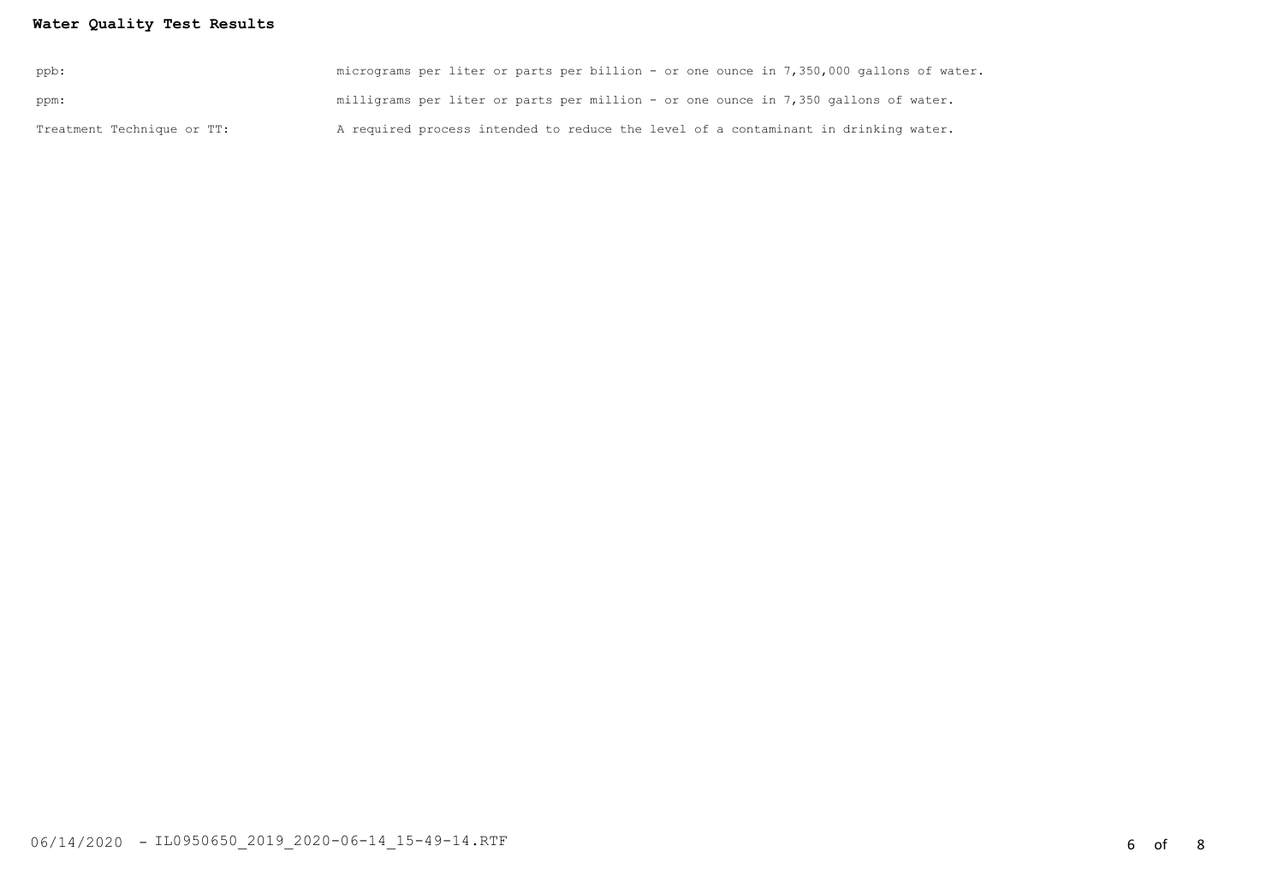### **Water Quality Test Results**

| ppb:                       | micrograms per liter or parts per billion - or one ounce in 7,350,000 gallons of water. |
|----------------------------|-----------------------------------------------------------------------------------------|
| ppm:                       | milligrams per liter or parts per million - or one ounce in 7,350 gallons of water.     |
| Treatment Technique or TT: | A required process intended to reduce the level of a contaminant in drinking water.     |